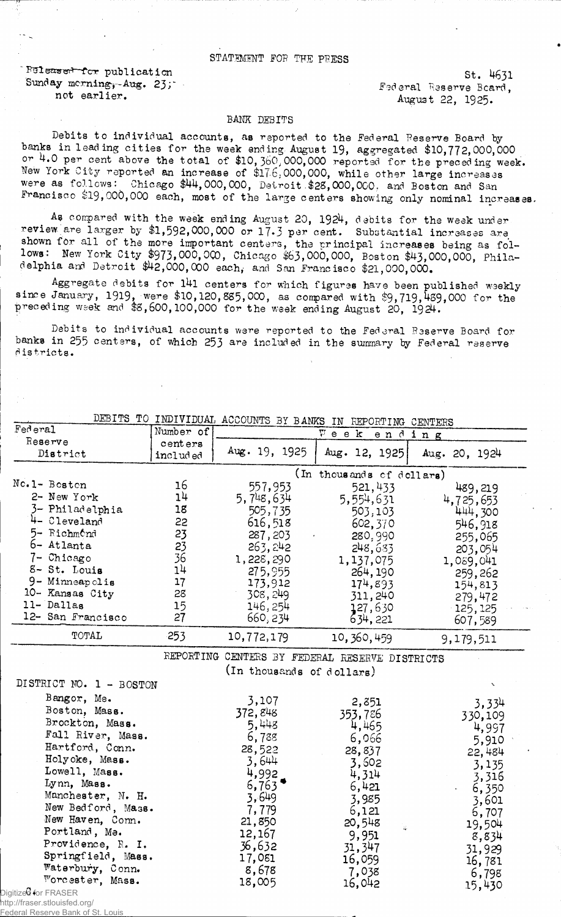## STATEMENT FOR THE PRESS

Ruleased for publication Sunday morning-,-Aug. 23;' not earlier.

St. 4631 Federal Reserve Beard, August 22, 1925.

## BANK DEBITS

Debits to individual accounts, as reported to the Federal Reserve Board by banks in leading cities for the week ending. August 19, aggregated \$10,772,000,000 or 4.0 per cent above the total of \$10,3bO; 000,000 reported for the preceding week. New York City reported an increase of \$176,000,000, while other large increases were as follows: Chicago \$44,000,000, Detroit \$28,000,000, and Boston and San Francisco \$19,000,000 each, most of the large centers showing only nominal increases.

As compared with the week ending August 20, 1924, debits for the week under review are larger by \$1,592,000,000 or 17-3 per cent. Substantial increases are shown for all of the more important centers, the principal increases being as follows: New York City \$973,000,000, Chicago \$63,000,000, Boston \$43,000,000, Philadelphia and Detroit \$42,000,000 each, and San Francisco \$21,000,000.

Aggregate debits for 141 centers for which figures have been published weekly since January, 1919, were \$10,120,885,000, as compared with  $$9,719,489,000$  for the preceding week and \$8,600,100,000 for the week ending August 20, 1§24.

Debits to individual accounts were reported to the Federal Reserve Board for banks in 255 centers, of which 253 are included in the summary by Federal reserve districts.

|                         |           |                           | DEBITS TO INDIVIDUAL ACCOUNTS BY BANKS IN REPORTING CENTERS |                |
|-------------------------|-----------|---------------------------|-------------------------------------------------------------|----------------|
| Federal                 | Number of |                           | $V$ e e $k$<br>ending                                       |                |
| Reserve                 | centers   |                           |                                                             |                |
| District                | included  | Aug. 19, 1925             | Aug. 12, 1925                                               | Aug. 20, 1924  |
|                         |           |                           | (In thousands of dellars)                                   |                |
| No.1- Boston            | 16        | 557,953                   | 521,433                                                     | 489,219        |
| 2- New York             | 14        | 5,748,634                 | 5,554,631                                                   | 4,725,653      |
| 3- Philadelphia         | 18        | 505,735                   | 503,103                                                     | 444,300        |
| 4- Cleveland            | 22        | 616,518                   | 602,370                                                     | 546,918        |
| 5- Richmond             | 23        | 287, 203                  | 280,990                                                     | 255,065        |
| 6- Atlanta              | 23        | 263, 242                  | 248,633                                                     | 203,054        |
| 7- Chicago              | 36        | 1,228,290                 | 1,137,075                                                   | 1,089,041      |
| 8- St. Louis            | 14        | 275,955                   | 264, 190                                                    | 259,262        |
| 9- Minneapolis          | 17        | 173,912                   | 174,893                                                     | 154,813        |
| 10- Kansas City         | 28        | 308, 249                  | 311,240                                                     | 279,472        |
| 11-Dallas               | 15        | 146, 254                  | 127,630                                                     | 125,125        |
| 12- San Francisco       | 27        | 660, 234                  | 634, 221                                                    | 607,589        |
| TOTAL                   | 253       | 10,772,179                | 10, 360, 459                                                | 9,179,511      |
|                         |           |                           | REPORTING CENTERS BY FEDERAL RESERVE DISTRICTS              |                |
|                         |           | (In thousands of dollars) |                                                             |                |
| DISTRICT NO. 1 - BOSTON |           |                           |                                                             |                |
| Bangor, Me.             |           | 3,107                     | 2,351                                                       |                |
| Boston, Mass.           |           | 372,848                   | 353,786                                                     | 3,334          |
| Brockton, Mass.         |           | 5,448                     | 4,465                                                       | 330,109        |
| Fall River, Mass.       |           | 6,788                     | 6,066                                                       | 4,997          |
| Hartford, Conn.         |           | 28,522                    | 28,837                                                      | 5,910          |
| Holyoke, Mass.          |           | 3,644                     | 3,602                                                       | 22,484         |
| Lowell, Mass.           |           | 4,992                     | 4,314                                                       | 3,135<br>3,316 |
| Lynn, Mass.             |           | 6,763                     | 6,421                                                       | 6,350          |
| Manchester, N. H.       |           | 3,649                     | 3,985                                                       | 3,601          |
| New Bedford, Mass.      |           | 7,779                     | 6,121                                                       | 6,707          |
| New Haven, Conn.        |           | 21,850                    | 20,548                                                      | 19,504         |
| Portland, Ma.           |           | 12,167                    | Q.<br>9,951                                                 | 8,834          |
| Providence, R. I.       |           | 36,632                    | 31, 347                                                     | 31,929         |
| Springfield, Mass.      |           | 17,081                    | 16,059                                                      | 16,781         |
| Waterbury, Conn.        |           | 8,678                     | 7,038                                                       | 6,798          |
| Worcester, Mass.        |           | 18,005                    | 16,042                                                      | 15,430         |

Digitized for FRASER http://fraser.stlouisfed.org/

**Federal Reserve Bank of St. Louis**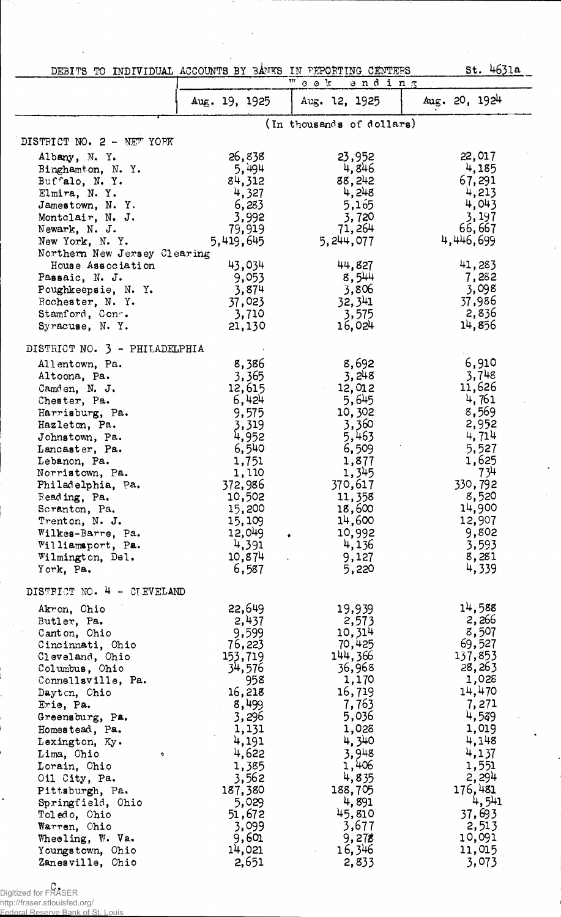| DEBITS TO INDIVIDUAL ACCOUNTS BY BANKS IN PEPORTING CENTERS |                  | $\frac{1}{4}$ 0 0 $\frac{1}{44}$<br>ending | St. 4631a         |
|-------------------------------------------------------------|------------------|--------------------------------------------|-------------------|
|                                                             | Aug. $19, 1925$  | Aug. 12, 1925                              | Aug. 20, 1924     |
|                                                             |                  | (In thousands of dollars)                  |                   |
| DISTRICT NO. 2 - NEW YORK                                   |                  |                                            |                   |
| Albany, N.Y.                                                | 26,838           | 23,952                                     | 22,017            |
| Binghamton, N.Y.                                            | 5,494            | 4,846                                      | 4,185             |
| Buffalo, N.Y.                                               | 84,312           | 88,242                                     | 67,291            |
| Elmira, N.Y.                                                | 4,327            | 4,248                                      | 4,213             |
| Jamestown, N.Y.                                             | 6,283            | 5,165                                      | 4,043             |
| Montclair, N. J.<br>Newark, N. J.                           | 3,992<br>79,919  | 3,720<br>71,264                            | 3,197<br>66,667   |
| New York, N.Y.                                              | 5,419,645        | 5, 244, 077                                | 4,446,699         |
| Northern New Jersey Clearing                                |                  |                                            |                   |
| House Association                                           | 43,034           | 44,827                                     | 41,283            |
| Passaic, N. J.                                              | 9,053            | 8,544                                      | 7,282             |
| Poughkeepsie, N. Y.                                         | 3,874            | 3,806                                      | 3,098             |
| Rochester, N. Y.                                            | 37,023           | 32, 341                                    | 37,986            |
| Stamford, Conn.                                             | 3,710            | 3,575                                      | 2,836             |
| Syracuse, N.Y.                                              | 21,130           | 16,024                                     | 14,856            |
| DISTRICT NO. 3 - PHILADELPHIA                               |                  |                                            |                   |
| Allentown, Pa.                                              | 8,386            | 8,692                                      | 6,910             |
| Altoona, Pa.                                                | 3,365            | 3,248                                      | 3,748             |
| Camden, N. J.                                               | 12,615<br>6,424  | 12,012<br>5,645                            | 11,626<br>4,761   |
| Chester, Pa.<br>Harrisburg, Pa.                             | 9,575            | 10,302                                     | 8,569             |
| Hazleton, Pa.                                               | 3,319            | 3,360                                      | 2,952             |
| Johnstown, Pa.                                              | 4,952            | 5,463                                      | 4,714             |
| Lancaster, Pa.                                              | 6,540            | 6,509                                      | 5,527             |
| Lebanon, Pa.                                                | 1,751            | 1,877                                      | 1,625             |
| Norristown, Pa.                                             | 1,110            | 1,345                                      | 734               |
| Philadelphia, Pa.                                           | 372,986          | 370,617                                    | 330,792           |
| Reading, Pa.                                                | 10,502           | 11,358                                     | 8,520<br>14,900   |
| Scranton, Pa.<br>Trenton, N. J.                             | 15,200<br>15,109 | 18,600<br>14,600                           | 12,907            |
| Wilkes-Barre, Pa.                                           | 12,049           | 10,992<br>$\bullet$                        | 9,802             |
| Williamsport, Pa.                                           | 4,391            | 4,136                                      | 3,593             |
| Wilmington, Del.                                            | 10,874           | 9,127                                      | 8,281             |
| York, Pa.                                                   | 6,587            | 5,220                                      | 4,339             |
| DISTRICT NO. 4 - CLEVELAND                                  |                  |                                            |                   |
| Akron, Ohio                                                 | 22,649           | 19,939                                     | 14,588            |
| Butler, Pa.                                                 | 2,437            | 2,573                                      | 2,266             |
| Canton, Ohio                                                | 9,599            | 10,314                                     | 8,507             |
| Cincinnati, Ohio                                            | 76,223           | 70,425                                     | 69,527            |
| Cleveland, Ohio                                             | 153,719          | 144,366<br>36,968                          | 137,853<br>28,263 |
| Columbus, Ohio<br>Connellsville, Pa.                        | 34,576<br>958    | 1,170                                      | 1,028             |
| Dayton, Ohio                                                | 16,218           | 16,719                                     | 14,470            |
| Erie, Pa.                                                   | 8,499            | 7,763                                      | 7,271             |
| Greensburg, Pa.                                             | 3,296            | 5,036                                      | 4,539             |
| Homestead, Pa.                                              | 1,131            | 1,028                                      | 1,019             |
| Lexington, Ky.                                              | 4,191            | 4,340                                      | 4,148             |
| Lima, Ohio<br>Ą.                                            | 4,622            | 3,948                                      | 4,137             |
| Lorain, Ohio                                                | 1,385            | 1,406                                      | 1,551             |
| Oil City, Pa.                                               | 3,562            | 4,835                                      | 2,294<br>176,481  |
| Pittsburgh, Pa.<br>Springfield, Ohio                        | 187,380<br>5,029 | 188,705<br>4,891                           | 4,541             |
| Toledo, Ohio                                                | 51,672           | 45,810                                     | 37,693            |
| Warren, Ohio                                                | 3,099            | 3,677                                      | 2,513             |
| Wheeling, W. Va.                                            | 9,601            | 9,278                                      | 10,091            |
| Youngstown, Ohio                                            | 14,021           | 16,346                                     | 11,015            |
| Zanesville, Ohio                                            | 2,651            | 2,833                                      | 3,073             |

Digitized for FRASER

http://fraser.stlouisfed.org/ Federal Reserve Bank of St. Louis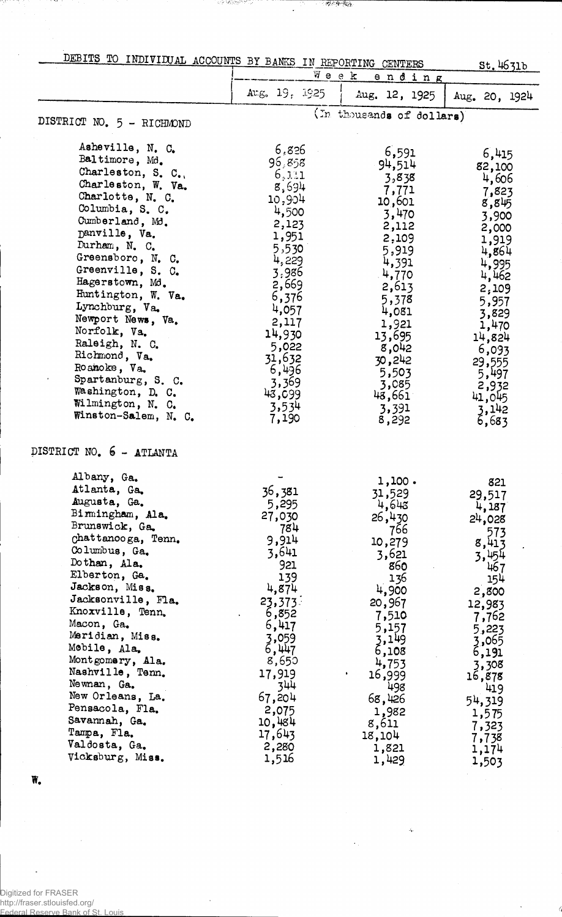| - DITS TO INDIVIDUAL ACCOUNTS BY BANKS IN REPORTING CENTERS |  |  |  |
|-------------------------------------------------------------|--|--|--|
|                                                             |  |  |  |

Ϋ́,

 $\ddot{\phantom{0}}$ 

**Wereld** 

AN MARKASTA

| DEBITS TO INDIVIDUAL ACCOUNTS BY BANKS IN REPORTING CENTERS |                | Week                      | St.4631b        |
|-------------------------------------------------------------|----------------|---------------------------|-----------------|
|                                                             | Arg. 19. 1925  | ending<br>Aug. 12, 1925   | Aug. 20, 1924   |
|                                                             |                | (In thousands of dollars) |                 |
| DISTRICT NO. 5 - RICHMOND                                   |                |                           |                 |
| Asheville, N. C.                                            | 6,826          | 6,591                     | 6,415           |
| Baltimore, Md.                                              | 96,858         | 94,514                    | 82,100          |
| Charleston, S. C.,                                          | 6,111          | 3,838                     | 4,606           |
| Charleston, W. Va.                                          | 8,694          | 7,771                     | 7,823           |
| Charlotte, N. C.                                            | 10,904         | 10,601                    | 8,845           |
| Columbia, S. C.                                             | 4,500          | 3,470                     | 3,900           |
| Cumberland, Md.<br>Danville, Va.                            | 2,123          | 2,112                     | 2,000           |
| Durham, N. C.                                               | 1,951          | 2,109                     | 1,919           |
| Greensboro, N. C.                                           | 5,530          | 5,919                     | 4,864           |
| Greenville, S. C.                                           | 4,229          | 4,391                     | 4,995           |
| Hagerstown, Md.                                             | 3,986          | 4,770                     | 4,462           |
| Huntington, W. Va.                                          | 2,669<br>6,376 | 2,613                     | 2,109           |
| Lynchburg, Va.                                              | 4,057          | 5,378                     | 5,957           |
| Newport News, Va.                                           | 2,117          | 4,081                     | 3,829           |
| Norfolk, Va.                                                | 14,930         | 1,921<br>13,695           | 1,470           |
| Raleigh, N. C.                                              | 5,022          | 8,042                     | 14,824          |
| Richmond, Va.                                               | 31,632         | 30,242                    | 6,093<br>29,555 |
| Roanoke, Va.                                                | 6,496          | 5,503                     | 5,497           |
| Spartanburg, S. C.                                          | 3,369          | 3,085                     | 2,932           |
| Washington, D. C.                                           | 43,099         | 43,661                    | 41,045          |
| Wilmington, N. C.                                           | 3,534          | 3,391                     |                 |
| Winston-Salem, N. C.                                        | 7,190          | 8,292                     | 3,142<br>6,683  |
| DISTRICT NO. 6 - ATLANTA                                    |                |                           |                 |
| Albany, Ga.                                                 |                | 1,100.                    |                 |
| Atlanta, Ga.                                                | 36,381         | 31,529                    | 821             |
| Augusta, Ga.                                                | 5,295          | 4,643                     | 29,517<br>4,187 |
| Birmingham, Ala.                                            | 27,030         | 26,430                    | 24,028          |
| Brunswick, Ga.                                              | 784            | 766                       | 573             |
| chattanooga, Tenn.                                          | 9,914          | 10,279                    | 8,413           |
| Columbus, Ga.                                               | 3,641          | 3,621                     | 3,454           |
| Dothan, Ala.                                                | 921            | 860                       | 467             |
| Elberton, Ga.                                               | 139            | 136                       | 154             |
| Jackson, Miss.<br>Jacksonville, Fla.                        | 4,874          | 4,900                     | 2,800           |
| Knoxville, Tenn.                                            | 23,373         | 20,967                    | 12,983          |
| Macon, Ga.                                                  | 6,852          | 7,510                     | 7,762           |
| Maridian, Miss.                                             | 6,417<br>3,059 | 5,157                     | 5,223           |
| Mobile, Ala.                                                | 6,447          | 3,149<br>6,108            | 3,065           |
| Montgomery, Ala.                                            | 8,650          | 4,753                     | 6,191           |
| Nashville, Tenn.                                            | 17,919         | 16,999                    | 3,308<br>16,878 |
| Newnan, Ga.                                                 | 344            | 498                       | 419             |
| New Orleans, La.                                            | 67,204         | 68,426                    | 54,319          |
| Pensacola, Fla.                                             | 2,075          | 1,982                     | 1,575           |
| Savannah, Ga.                                               | 10,484         | 8,611                     | 7,323           |
| Tampa, Fla.                                                 | 17,643         | 18,104                    | 7,738           |
| Valdosta, Ga.                                               | 2,280          | 1,821                     | 1,174           |
| Vicksburg, Miss.                                            | 1,516          | 1,429                     | 1,503           |

 $\tilde{\phi}$ 

ł

W.

 $\ddot{\phantom{a}}$ 

Digitized for FRASER http://fraser.stlouisfed.org/ Federal Reserve Bank of St. Louis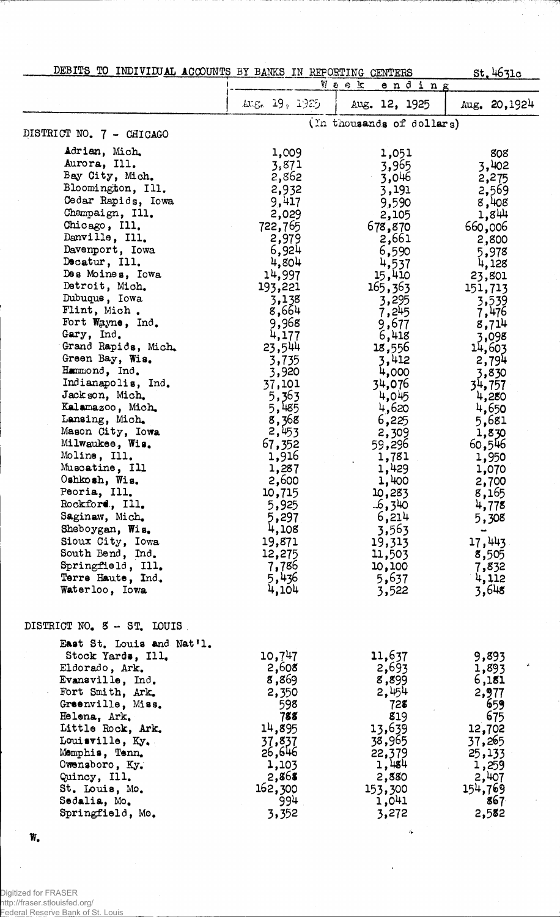|  |  |  | DEBITS TO INDIVIDUAL ACCOUNTS BY BANKS IN REPORTING CENTERS |  |  |  |  |  |  |
|--|--|--|-------------------------------------------------------------|--|--|--|--|--|--|
|--|--|--|-------------------------------------------------------------|--|--|--|--|--|--|

 $\hat{\mathcal{L}}$ 

| DEBITS TO INDIVILUAL ACCOUNTS BY BANKS IN REPORTING CENTERS<br>St.4631c<br>切るのは                                                                                                                                                                                                                                                                                                                                                                                                                                                                                                                                                                                                                              |                                                                                                                                                                                                                                                                                                                                                      |                                                                                                                                                                                                                                                                                                                                                          |                                                                                                                                                                                                                                                                                                                                             |  |
|--------------------------------------------------------------------------------------------------------------------------------------------------------------------------------------------------------------------------------------------------------------------------------------------------------------------------------------------------------------------------------------------------------------------------------------------------------------------------------------------------------------------------------------------------------------------------------------------------------------------------------------------------------------------------------------------------------------|------------------------------------------------------------------------------------------------------------------------------------------------------------------------------------------------------------------------------------------------------------------------------------------------------------------------------------------------------|----------------------------------------------------------------------------------------------------------------------------------------------------------------------------------------------------------------------------------------------------------------------------------------------------------------------------------------------------------|---------------------------------------------------------------------------------------------------------------------------------------------------------------------------------------------------------------------------------------------------------------------------------------------------------------------------------------------|--|
|                                                                                                                                                                                                                                                                                                                                                                                                                                                                                                                                                                                                                                                                                                              |                                                                                                                                                                                                                                                                                                                                                      | ending                                                                                                                                                                                                                                                                                                                                                   |                                                                                                                                                                                                                                                                                                                                             |  |
|                                                                                                                                                                                                                                                                                                                                                                                                                                                                                                                                                                                                                                                                                                              | LUE. 19, 1925                                                                                                                                                                                                                                                                                                                                        | Aug. 12, 1925                                                                                                                                                                                                                                                                                                                                            | Aug. $20,1924$                                                                                                                                                                                                                                                                                                                              |  |
| DISTRICT NO. 7 - CHICAGO                                                                                                                                                                                                                                                                                                                                                                                                                                                                                                                                                                                                                                                                                     |                                                                                                                                                                                                                                                                                                                                                      | (In thousands of dollars)                                                                                                                                                                                                                                                                                                                                |                                                                                                                                                                                                                                                                                                                                             |  |
| Adrian, Mich.<br>Aurora, Ill.<br>Bay City, Mich.<br>Bloomington, Ill.<br>Cedar Rapids, Iowa<br>Champaign, Ill.<br>Chicago, Ill.<br>Danville, Ill.<br>Davenport, Iowa<br>Decatur, Ill.<br>Des Moines, Iowa<br>Detroit, Mich.<br>Dubuque, Iowa<br>Flint, Mich.<br>Fort Wayne, Ind.<br>Gary, Ind.<br>Grand Rapids, Mich.<br>Green Bay, Wis.<br>Hummond, Ind.<br>Indianapolis, Ind.<br>Jackson, Mich.<br>Kalamazoo, Mich.<br>Lansing, Mich.<br>Mason City, Iowa<br>Milwaukee, Wis.<br>Moline, Ill.<br>Muscatine, Ill<br>Oshkosh, Wis.<br>Peoria, Ill.<br>Rockford, Ill.<br>Saginaw, Mich.<br>Sheboygan, Wis.<br>Sioux City, Iowa<br>South Bend, Ind.<br>Springfield, Ill.<br>Terre Haute, Ind.<br>Waterloo, Iowa | 1,009<br>3,871<br>2,862<br>2,932<br>9,417<br>2,029<br>722,765<br>2,979<br>6,924<br>4,804<br>14,997<br>193,221<br>3,138<br>8,664<br>9,968<br>4,177<br>23,544<br>3,735<br>3,920<br>37,101<br>5,363<br>5,485<br>8,368<br>2,453<br>67,352<br>1,916<br>1,287<br>2,600<br>10,715<br>5,925<br>5,297<br>4,108<br>19,871<br>12,275<br>7,786<br>5,436<br>4,104 | 1,051<br>3,965<br>3,046<br>3,191<br>9,590<br>2,105<br>678,870<br>2,661<br>6,590<br>4,537<br>15,410<br>165,363<br>3,295<br>7,245<br>9,677<br>6,418<br>18,556<br>3,412<br>4,000<br>34,076<br>4,045<br>4,620<br>6,225<br>2,309<br>59,296<br>1,781<br>1,429<br>1,400<br>10,283<br>$-6,340$<br>6,214<br>3,563<br>19,313<br>11,503<br>10,100<br>5,637<br>3,522 | 808<br>3,402<br>2,275<br>2,569<br>8,408<br>1,844<br>660,006<br>2,800<br>5,978<br>4,128<br>23,801<br>151,713<br>3,539<br>$7,476$<br>$8,714$<br>3,098<br>14,603<br>2,794<br>3,830<br>34,757<br>4,280<br>4,650<br>5,681<br>1,830<br>60,546<br>1,950<br>1,070<br>2,700<br>8,165<br>4,775<br>5,308<br>17,443<br>8,505<br>7,832<br>4,112<br>3,648 |  |
| DISTRICT NO. 8 - ST. LOUIS                                                                                                                                                                                                                                                                                                                                                                                                                                                                                                                                                                                                                                                                                   |                                                                                                                                                                                                                                                                                                                                                      |                                                                                                                                                                                                                                                                                                                                                          |                                                                                                                                                                                                                                                                                                                                             |  |
| East St. Louis and Nat'l.<br>Stock Yards, Ill.<br>Eldorado, Ark.<br>Evansville, Ind.<br>Fort Smith, Ark.<br>Greenville, Miss.<br>Helena, Ark.<br>Little Rock, Ark.<br>Louisville, Ky.<br>Memphis, Tenn.<br>Owensboro, Ky.<br>Quincy, Ill.<br>St. Louis, Mo.<br>Sedalia, Mo.<br>Springfield, Mo.                                                                                                                                                                                                                                                                                                                                                                                                              | 10,747<br>2,608<br>8,869<br>2,350<br>598<br>788<br>14,895<br>37,837<br>26,646<br>1,103<br>2,868<br>162,300<br>994<br>3,352                                                                                                                                                                                                                           | 11,637<br>2,693<br>8,899<br>2,454<br>728<br>819<br>13,639<br>38,965<br>22,379<br>1,484<br>2,880<br>153,300<br>1,041<br>3,272                                                                                                                                                                                                                             | 9,893<br>1,893<br>6,181<br>2,977<br>659<br>675<br>12,702<br>37,265<br>25,133<br>1,259<br>2,407<br>154,769<br>867<br>2,582                                                                                                                                                                                                                   |  |

 $\hat{\phi}$ 

W.

 $\bar{z}$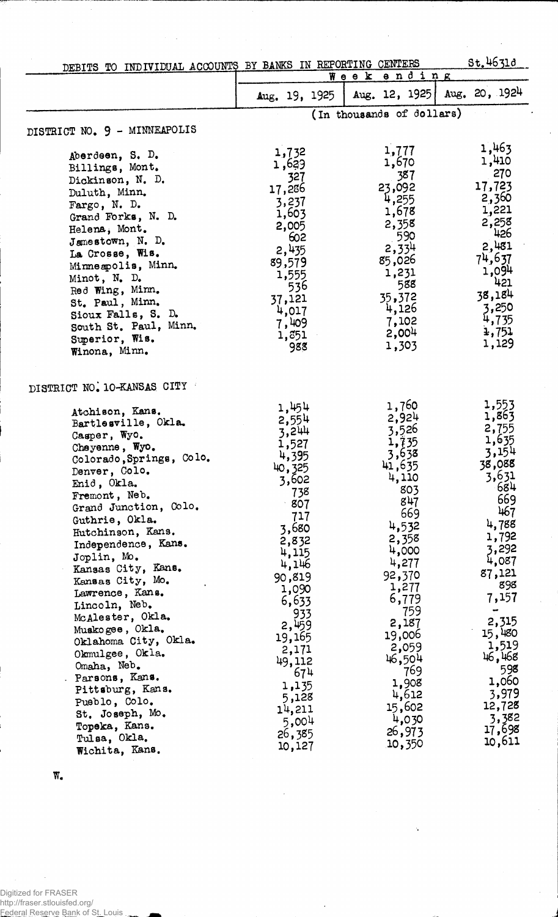| DEBITS TO INDIVIDUAL ACCOUNTS BY BANKS IN REPORTING CENTERS                                                                                                                                                                                                                                                                                                                                  |                                                                                                                                                                  |                                                                                                                                                          | St.4631d                                                                                                                                              |
|----------------------------------------------------------------------------------------------------------------------------------------------------------------------------------------------------------------------------------------------------------------------------------------------------------------------------------------------------------------------------------------------|------------------------------------------------------------------------------------------------------------------------------------------------------------------|----------------------------------------------------------------------------------------------------------------------------------------------------------|-------------------------------------------------------------------------------------------------------------------------------------------------------|
|                                                                                                                                                                                                                                                                                                                                                                                              |                                                                                                                                                                  | Week ending                                                                                                                                              |                                                                                                                                                       |
|                                                                                                                                                                                                                                                                                                                                                                                              | Aug. 19, 1925                                                                                                                                                    | Aug. 12, 1925                                                                                                                                            | Aug. $20, 1924$                                                                                                                                       |
|                                                                                                                                                                                                                                                                                                                                                                                              |                                                                                                                                                                  | (In thousands of dollars)                                                                                                                                |                                                                                                                                                       |
| DISTRICT NO. 9 - MINNEAPOLIS                                                                                                                                                                                                                                                                                                                                                                 |                                                                                                                                                                  |                                                                                                                                                          |                                                                                                                                                       |
| Aberdeen, S. D.<br>Billings, Mont.<br>Dickinson, N. D.<br>Duluth, Minn.<br>Fargo, N. D.<br>Grand Forks, N. D.<br>Helena, Mont.<br>Jamestown, N. D.<br>La Crosse, Wis.<br>Minneapolis, Minn.<br>Minot, N. D.<br>Red Wing, Minn.<br>St. Paul, Minn.<br>Sioux Falls, S. D.<br>South St. Paul, Minn.<br>Superior, Wis.<br>Winona, Minn.                                                          | 1,732<br>1,629<br>327<br>17,236<br>3,237<br>1,603<br>2,005<br>602<br>2,435<br>89,579<br>1,555<br>536<br>37,121<br>4,017<br>7,409<br>1,351<br>988                 | 1,777<br>1,670<br>387<br>23,092<br>4,255<br>1,678<br>2,358<br>590<br>2,334<br>85,026<br>1,231<br>588<br>35,372<br>4,126<br>7,102<br>2,004<br>1,303       | 1,463<br>1,410<br>270<br>17,723<br>2,360<br>1,221<br>2,258<br>426<br>2,481<br>74,637<br>1,094<br>421<br>38,184<br>3,250<br>4,735<br>1,751<br>1,129    |
| DISTRICT NO. 10-KANSAS CITY<br>Atchison, Kans.<br>Bartlesville, Okla.<br>Casper, Wyo.<br>Cheyenne, Wyo.<br>Colorado, Springs, Colo.<br>Denver, Colo.<br>Enid, Okla.<br>Fremont, Neb.<br>Grand Junction, Colo.<br>Guthrie, Okla.<br>Hutchinson, Kans.<br>Independence, Kans.<br>Joplin, Mo.<br>Kansas City, Kans.<br>Kansas City, Mo.<br>Lawrence, Kans.<br>Lincoln, Neb.<br>McAlester, Okla. | 1,454<br>2,554<br>3,244<br>1,527<br>4,395<br>40,325<br>3,602<br>738<br>$\cdot$ 807<br>717<br>3,680<br>2,832<br>4,115<br>4,146<br>90,819<br>1,090<br>6,633<br>933 | 1,760<br>2,924<br>3,526<br>1,735<br>3,638<br>41,635<br>4,110<br>803<br>847<br>669<br>4,532<br>2,358<br>4,000<br>4,277<br>92,370<br>1,277<br>6,779<br>759 | 1,553<br>1,863<br>2,755<br>1,635<br>3,154<br>38,088<br>3,631<br>-684<br>669<br>467<br>4,788<br>1,792<br>3,292<br>4,087<br>87,121<br>898<br>7,157<br>÷ |
| Muskogee, Okla.<br>Oklahoma City, Okla.<br>Okmulgee, Okla.<br>Omaha, Neb.<br>Parsons, Kans.<br>Pittsburg, Kans.<br>Pueblo, Colo.<br>St. Joseph, Mo.<br>Topeka, Kans.<br>Tulsa, Okla.<br>Wichita, Kans.                                                                                                                                                                                       | 2,459<br>19,165<br>2,171<br>49,112<br>674<br>1,135<br>5,128<br>14,211<br>5,004<br>26,385<br>10,127                                                               | 2,187<br>19,006<br>2,059<br>46,504<br>769<br>1,908<br>4,612<br>15,602<br>4,030<br>26,973<br>10,350                                                       | 2,315<br>15,480<br>1,519<br>46,468<br>598<br>1,060<br>3,979<br>12,728<br>3,382<br>17,698<br>10,611                                                    |

 $\cdot$ 

 $\overline{\phantom{a}}$ 

 $\bar{\gamma}$ 

 $\overline{\mathbf{W}}_\bullet$ 

Digitized for FRASER<br>http://fraser.stlouisfed.org/<br><u>Federal Reserve Bank</u> of S<u>t. Louis</u>